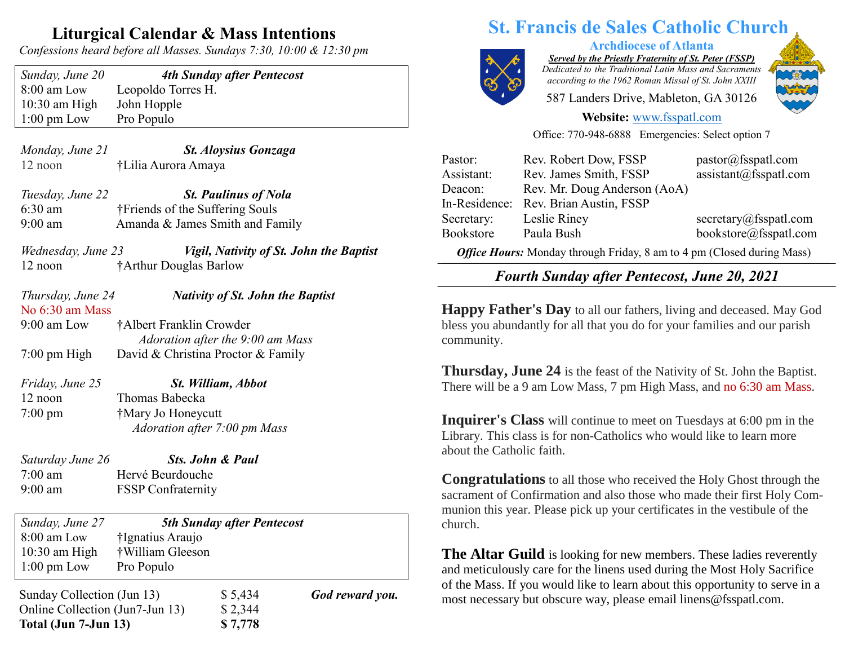## **Liturgical Calendar & Mass Intentions**

*Confessions heard before all Masses. Sundays 7:30, 10:00 & 12:30 pm*

| Sunday, June 20       |
|-----------------------|
| 8:00 am Low           |
| $10:30$ am High       |
| $1:00 \text{ pm}$ Low |

**4th Sunday after Pentecost** Leopoldo Torres H. John Hopple Pro Populo

*Monday, June 21 St. Aloysius Gonzaga* 12 noon †Lilia Aurora Amaya

*Tuesday, June 22 St. Paulinus of Nola* 6:30 am †Friends of the Suffering Souls 9:00 am Amanda & James Smith and Family

*Wednesday, June 23 Vigil, Nativity of St. John the Baptist* 12 noon †Arthur Douglas Barlow

#### *Thursday, June 24 Nativity of St. John the Baptist* No 6:30 am Mass

9:00 am Low †Albert Franklin Crowder  *Adoration after the 9:00 am Mass* 7:00 pm High David & Christina Proctor & Family

*Friday, June 25 St. William, Abbot* 12 noon Thomas Babecka 7:00 pm †Mary Jo Honeycutt  *Adoration after 7:00 pm Mass*

*Saturday June 26 Sts. John & Paul* 7:00 am Hervé Beurdouche 9:00 am FSSP Confraternity

*Sunday, June 27 5th Sunday after Pentecost* 8:00 am Low †Ignatius Araujo

10:30 am High †William Gleeson 1:00 pm Low Pro Populo

Sunday Collection (Jun 13) \$ 5,434 *God reward you.* Online Collection (Jun7-Jun 13) \$ 2,344 **Total (Jun 7-Jun 13) \$ 7,778**

# **St. Francis de Sales Catholic Church**



**Archdiocese of Atlanta**

*Served by the Priestly Fraternity of St. Peter (FSSP) Dedicated to the Traditional Latin Mass and Sacraments according to the 1962 Roman Missal of St. John XXIII*

587 Landers Drive, Mableton, GA 30126

#### **Website:** [www.fsspatl.com](http://www.fsspatl.com/)

Office: 770-948-6888 Emergencies: Select option 7

| Pastor:                                                                | Rev. Robert Dow, FSSP        | pastor@fsspath.com     |
|------------------------------------------------------------------------|------------------------------|------------------------|
| Assistant:                                                             | Rev. James Smith, FSSP       | assignment@fsspath.com |
| Deacon:                                                                | Rev. Mr. Doug Anderson (AoA) |                        |
| In-Residence:                                                          | Rev. Brian Austin, FSSP      |                        |
| Secretary:                                                             | Leslie Riney                 | secretary@fsspath.com  |
| Bookstore                                                              | Paula Bush                   | bookstore@fsspatl.com  |
| Office Hours: Monday through Friday, 8 am to 4 pm (Closed during Mass) |                              |                        |

 $\overline{\phantom{a}}$ *Fourth Sunday after Pentecost, June 20, 2021* **Tourn Sunday after 1 entecost, June 20, 2021** 

**Happy Father's Day** to all our fathers, living and deceased. May God bless you abundantly for all that you do for your families and our parish community.

**Thursday, June 24** is the feast of the Nativity of St. John the Baptist. There will be a 9 am Low Mass, 7 pm High Mass, and no 6:30 am Mass.

**Inquirer's Class** will continue to meet on Tuesdays at 6:00 pm in the Library. This class is for non-Catholics who would like to learn more about the Catholic faith.

**Congratulations** to all those who received the Holy Ghost through the sacrament of Confirmation and also those who made their first Holy Communion this year. Please pick up your certificates in the vestibule of the church.

**The Altar Guild** is looking for new members. These ladies reverently and meticulously care for the linens used during the Most Holy Sacrifice of the Mass. If you would like to learn about this opportunity to serve in a most necessary but obscure way, please email linens@fsspatl.com.